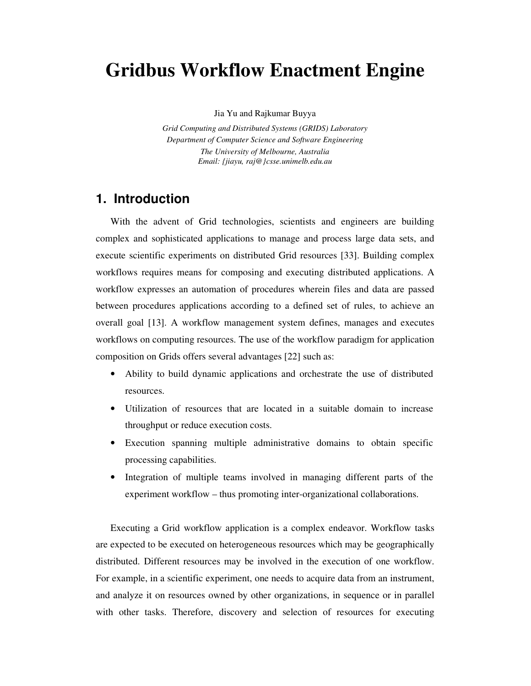# **Gridbus Workflow Enactment Engine**

#### Jia Yu and Rajkumar Buyya

*Grid Computing and Distributed Systems (GRIDS) Laboratory Department of Computer Science and Software Engineering The University of Melbourne, Australia Email: {jiayu, raj@}csse.unimelb.edu.au* 

## **1. Introduction**

With the advent of Grid technologies, scientists and engineers are building complex and sophisticated applications to manage and process large data sets, and execute scientific experiments on distributed Grid resources [33]. Building complex workflows requires means for composing and executing distributed applications. A workflow expresses an automation of procedures wherein files and data are passed between procedures applications according to a defined set of rules, to achieve an overall goal [13]. A workflow management system defines, manages and executes workflows on computing resources. The use of the workflow paradigm for application composition on Grids offers several advantages [22] such as:

- Ability to build dynamic applications and orchestrate the use of distributed resources.
- Utilization of resources that are located in a suitable domain to increase throughput or reduce execution costs.
- Execution spanning multiple administrative domains to obtain specific processing capabilities.
- Integration of multiple teams involved in managing different parts of the experiment workflow – thus promoting inter-organizational collaborations.

Executing a Grid workflow application is a complex endeavor. Workflow tasks are expected to be executed on heterogeneous resources which may be geographically distributed. Different resources may be involved in the execution of one workflow. For example, in a scientific experiment, one needs to acquire data from an instrument, and analyze it on resources owned by other organizations, in sequence or in parallel with other tasks. Therefore, discovery and selection of resources for executing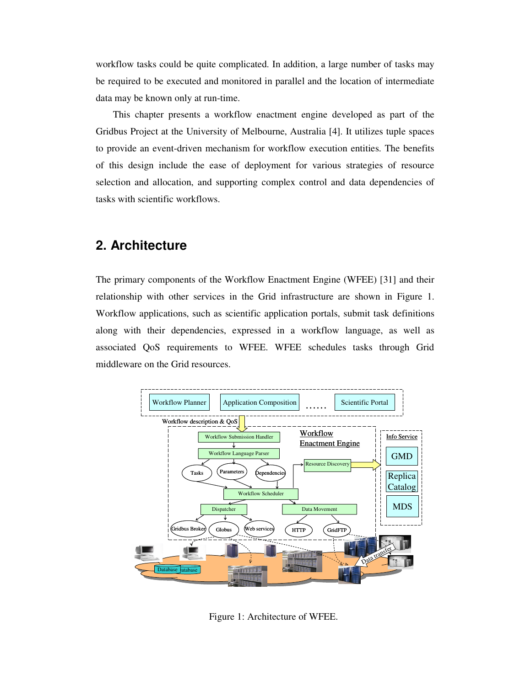workflow tasks could be quite complicated. In addition, a large number of tasks may be required to be executed and monitored in parallel and the location of intermediate data may be known only at run-time.

This chapter presents a workflow enactment engine developed as part of the Gridbus Project at the University of Melbourne, Australia [4]. It utilizes tuple spaces to provide an event-driven mechanism for workflow execution entities. The benefits of this design include the ease of deployment for various strategies of resource selection and allocation, and supporting complex control and data dependencies of tasks with scientific workflows.

### **2. Architecture**

The primary components of the Workflow Enactment Engine (WFEE) [31] and their relationship with other services in the Grid infrastructure are shown in Figure 1. Workflow applications, such as scientific application portals, submit task definitions along with their dependencies, expressed in a workflow language, as well as associated QoS requirements to WFEE. WFEE schedules tasks through Grid middleware on the Grid resources.



Figure 1: Architecture of WFEE.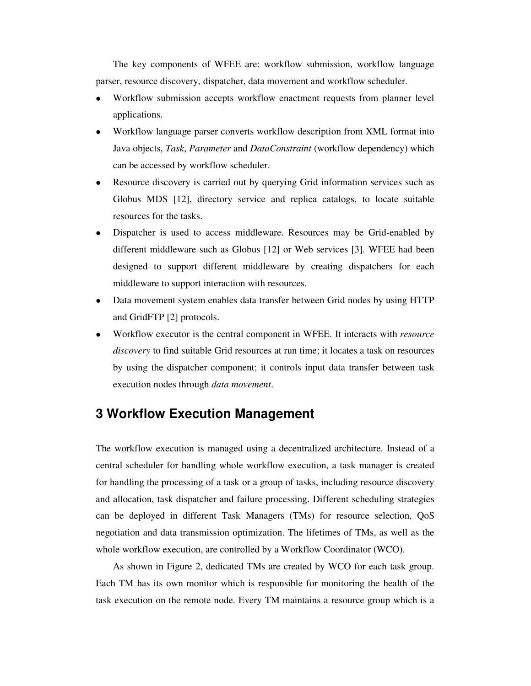The key components of WFEE are: workflow submission, workflow language parser, resource discovery, dispatcher, data movement and workflow scheduler.

- Workflow submission accepts workflow enactment requests from planner level applications.
- Workflow language parser converts workflow description from XML format into Java objects, *Task*, *Parameter* and *DataConstraint* (workflow dependency) which can be accessed by workflow scheduler.
- Resource discovery is carried out by querying Grid information services such as Globus MDS [12], directory service and replica catalogs, to locate suitable resources for the tasks.
- Dispatcher is used to access middleware. Resources may be Grid-enabled by different middleware such as Globus [12] or Web services [3]. WFEE had been designed to support different middleware by creating dispatchers for each middleware to support interaction with resources.
- Data movement system enables data transfer between Grid nodes by using HTTP and GridFTP [2] protocols.
- Workflow executor is the central component in WFEE. It interacts with *resource discovery* to find suitable Grid resources at run time; it locates a task on resources by using the dispatcher component; it controls input data transfer between task execution nodes through *data movement*.

## **3 Workflow Execution Management**

The workflow execution is managed using a decentralized architecture. Instead of a central scheduler for handling whole workflow execution, a task manager is created for handling the processing of a task or a group of tasks, including resource discovery and allocation, task dispatcher and failure processing. Different scheduling strategies can be deployed in different Task Managers (TMs) for resource selection, QoS negotiation and data transmission optimization. The lifetimes of TMs, as well as the whole workflow execution, are controlled by a Workflow Coordinator (WCO).

As shown in Figure 2, dedicated TMs are created by WCO for each task group. Each TM has its own monitor which is responsible for monitoring the health of the task execution on the remote node. Every TM maintains a resource group which is a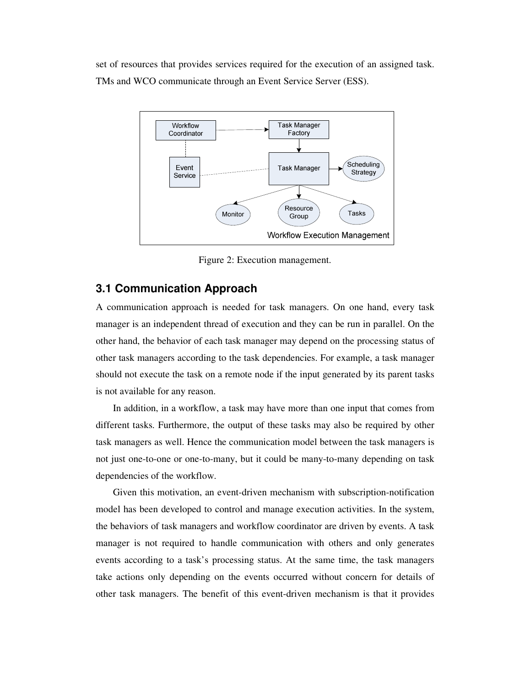set of resources that provides services required for the execution of an assigned task. TMs and WCO communicate through an Event Service Server (ESS).



Figure 2: Execution management.

#### **3.1 Communication Approach**

A communication approach is needed for task managers. On one hand, every task manager is an independent thread of execution and they can be run in parallel. On the other hand, the behavior of each task manager may depend on the processing status of other task managers according to the task dependencies. For example, a task manager should not execute the task on a remote node if the input generated by its parent tasks is not available for any reason.

In addition, in a workflow, a task may have more than one input that comes from different tasks. Furthermore, the output of these tasks may also be required by other task managers as well. Hence the communication model between the task managers is not just one-to-one or one-to-many, but it could be many-to-many depending on task dependencies of the workflow.

Given this motivation, an event-driven mechanism with subscription-notification model has been developed to control and manage execution activities. In the system, the behaviors of task managers and workflow coordinator are driven by events. A task manager is not required to handle communication with others and only generates events according to a task's processing status. At the same time, the task managers take actions only depending on the events occurred without concern for details of other task managers. The benefit of this event-driven mechanism is that it provides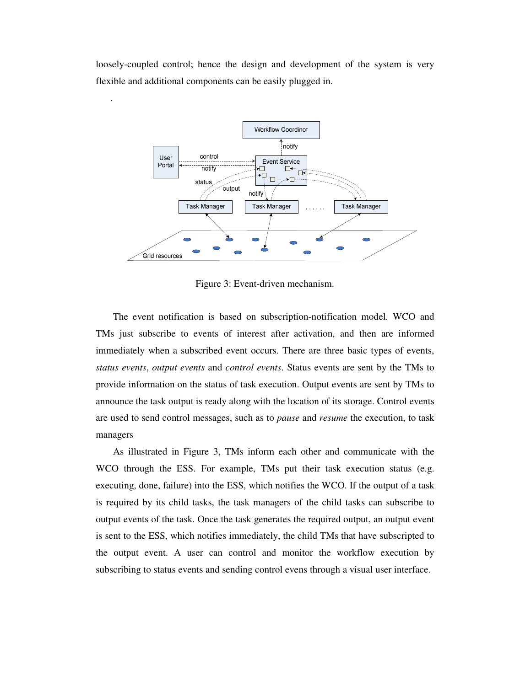loosely-coupled control; hence the design and development of the system is very flexible and additional components can be easily plugged in.

.



Figure 3: Event-driven mechanism.

The event notification is based on subscription-notification model. WCO and TMs just subscribe to events of interest after activation, and then are informed immediately when a subscribed event occurs. There are three basic types of events, *status events*, *output events* and *control events*. Status events are sent by the TMs to provide information on the status of task execution. Output events are sent by TMs to announce the task output is ready along with the location of its storage. Control events are used to send control messages, such as to *pause* and *resume* the execution, to task managers

As illustrated in Figure 3, TMs inform each other and communicate with the WCO through the ESS. For example, TMs put their task execution status (e.g. executing, done, failure) into the ESS, which notifies the WCO. If the output of a task is required by its child tasks, the task managers of the child tasks can subscribe to output events of the task. Once the task generates the required output, an output event is sent to the ESS, which notifies immediately, the child TMs that have subscripted to the output event. A user can control and monitor the workflow execution by subscribing to status events and sending control evens through a visual user interface.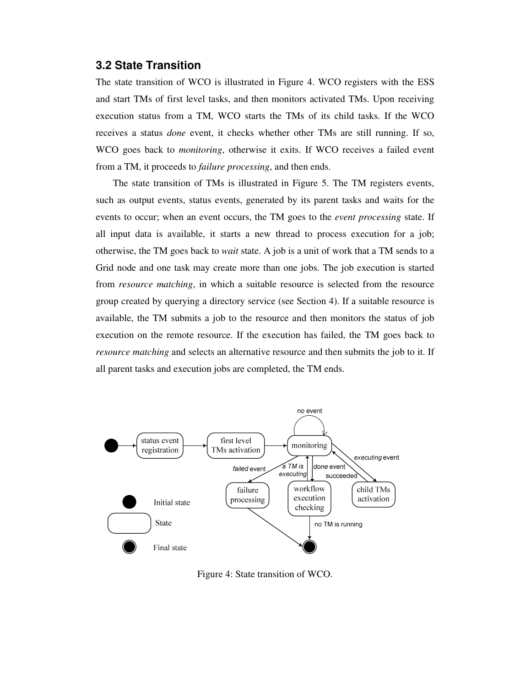#### **3.2 State Transition**

The state transition of WCO is illustrated in Figure 4. WCO registers with the ESS and start TMs of first level tasks, and then monitors activated TMs. Upon receiving execution status from a TM, WCO starts the TMs of its child tasks. If the WCO receives a status *done* event, it checks whether other TMs are still running. If so, WCO goes back to *monitoring*, otherwise it exits. If WCO receives a failed event from a TM, it proceeds to *failure processing*, and then ends.

The state transition of TMs is illustrated in Figure 5. The TM registers events, such as output events, status events, generated by its parent tasks and waits for the events to occur; when an event occurs, the TM goes to the *event processing* state. If all input data is available, it starts a new thread to process execution for a job; otherwise, the TM goes back to *wait* state. A job is a unit of work that a TM sends to a Grid node and one task may create more than one jobs. The job execution is started from *resource matching*, in which a suitable resource is selected from the resource group created by querying a directory service (see Section 4). If a suitable resource is available, the TM submits a job to the resource and then monitors the status of job execution on the remote resource. If the execution has failed, the TM goes back to *resource matching* and selects an alternative resource and then submits the job to it. If all parent tasks and execution jobs are completed, the TM ends.



Figure 4: State transition of WCO.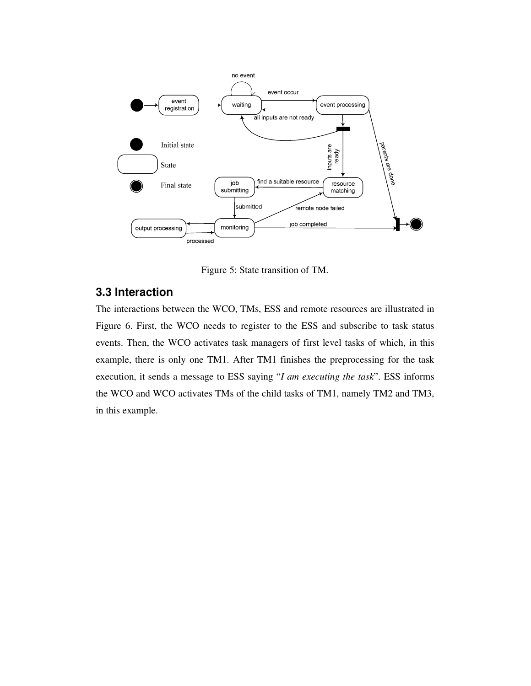

Figure 5: State transition of TM.

## **3.3 Interaction**

The interactions between the WCO, TMs, ESS and remote resources are illustrated in Figure 6. First, the WCO needs to register to the ESS and subscribe to task status events. Then, the WCO activates task managers of first level tasks of which, in this example, there is only one TM1. After TM1 finishes the preprocessing for the task execution, it sends a message to ESS saying "*I am executing the task*". ESS informs the WCO and WCO activates TMs of the child tasks of TM1, namely TM2 and TM3, in this example.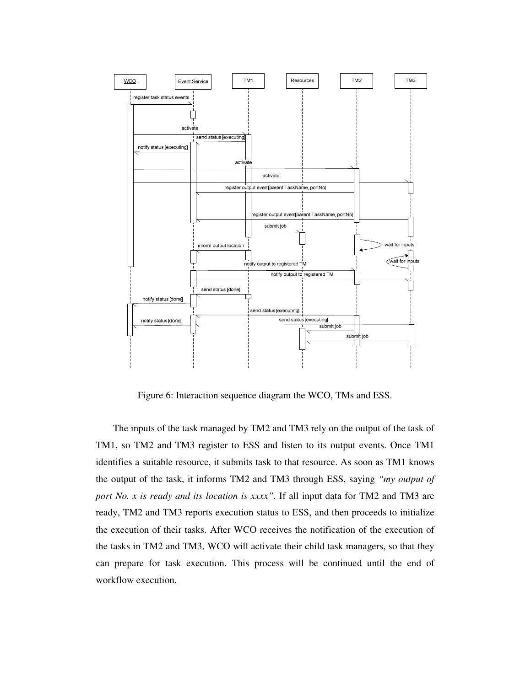

Figure 6: Interaction sequence diagram the WCO, TMs and ESS.

The inputs of the task managed by TM2 and TM3 rely on the output of the task of TM1, so TM2 and TM3 register to ESS and listen to its output events. Once TM1 identifies a suitable resource, it submits task to that resource. As soon as TM1 knows the output of the task, it informs TM2 and TM3 through ESS, saying *"my output of port No. x is ready and its location is xxxx"*. If all input data for TM2 and TM3 are ready, TM2 and TM3 reports execution status to ESS, and then proceeds to initialize the execution of their tasks. After WCO receives the notification of the execution of the tasks in TM2 and TM3, WCO will activate their child task managers, so that they can prepare for task execution. This process will be continued until the end of workflow execution.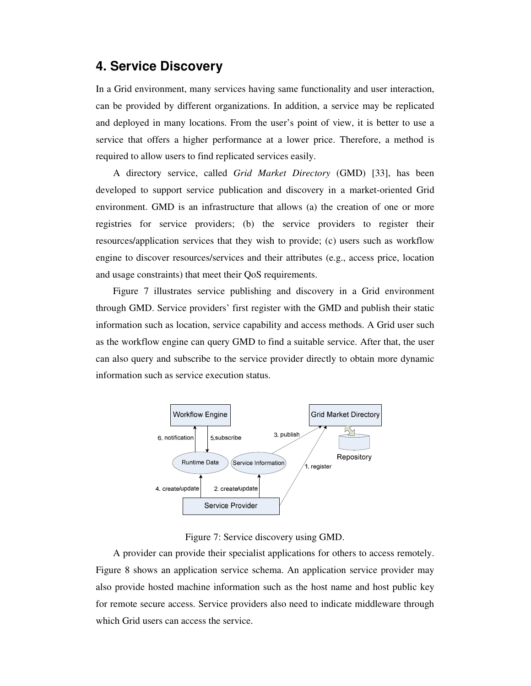### **4. Service Discovery**

In a Grid environment, many services having same functionality and user interaction, can be provided by different organizations. In addition, a service may be replicated and deployed in many locations. From the user's point of view, it is better to use a service that offers a higher performance at a lower price. Therefore, a method is required to allow users to find replicated services easily.

A directory service, called *Grid Market Directory* (GMD) [33], has been developed to support service publication and discovery in a market-oriented Grid environment. GMD is an infrastructure that allows (a) the creation of one or more registries for service providers; (b) the service providers to register their resources/application services that they wish to provide; (c) users such as workflow engine to discover resources/services and their attributes (e.g., access price, location and usage constraints) that meet their QoS requirements.

Figure 7 illustrates service publishing and discovery in a Grid environment through GMD. Service providers' first register with the GMD and publish their static information such as location, service capability and access methods. A Grid user such as the workflow engine can query GMD to find a suitable service. After that, the user can also query and subscribe to the service provider directly to obtain more dynamic information such as service execution status.



Figure 7: Service discovery using GMD.

A provider can provide their specialist applications for others to access remotely. Figure 8 shows an application service schema. An application service provider may also provide hosted machine information such as the host name and host public key for remote secure access. Service providers also need to indicate middleware through which Grid users can access the service.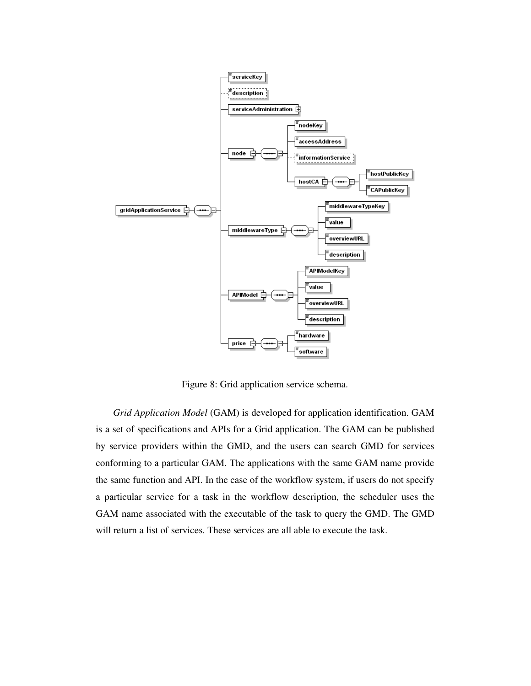

Figure 8: Grid application service schema.

*Grid Application Model* (GAM) is developed for application identification. GAM is a set of specifications and APIs for a Grid application. The GAM can be published by service providers within the GMD, and the users can search GMD for services conforming to a particular GAM. The applications with the same GAM name provide the same function and API. In the case of the workflow system, if users do not specify a particular service for a task in the workflow description, the scheduler uses the GAM name associated with the executable of the task to query the GMD. The GMD will return a list of services. These services are all able to execute the task.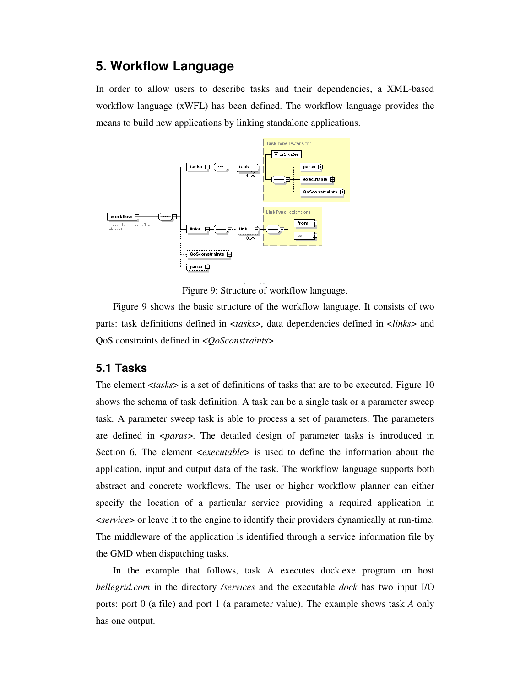## **5. Workflow Language**

In order to allow users to describe tasks and their dependencies, a XML-based workflow language (xWFL) has been defined. The workflow language provides the means to build new applications by linking standalone applications.



Figure 9: Structure of workflow language.

Figure 9 shows the basic structure of the workflow language. It consists of two parts: task definitions defined in <*tasks*>, data dependencies defined in <*links*> and QoS constraints defined in <*QoSconstraints*>.

#### **5.1 Tasks**

The element <*tasks*> is a set of definitions of tasks that are to be executed. Figure 10 shows the schema of task definition. A task can be a single task or a parameter sweep task. A parameter sweep task is able to process a set of parameters. The parameters are defined in <*paras*>. The detailed design of parameter tasks is introduced in Section 6. The element <*executable*> is used to define the information about the application, input and output data of the task. The workflow language supports both abstract and concrete workflows. The user or higher workflow planner can either specify the location of a particular service providing a required application in <*service*> or leave it to the engine to identify their providers dynamically at run-time. The middleware of the application is identified through a service information file by the GMD when dispatching tasks.

In the example that follows, task A executes dock.exe program on host *bellegrid.com* in the directory */services* and the executable *dock* has two input I/O ports: port 0 (a file) and port 1 (a parameter value). The example shows task *A* only has one output.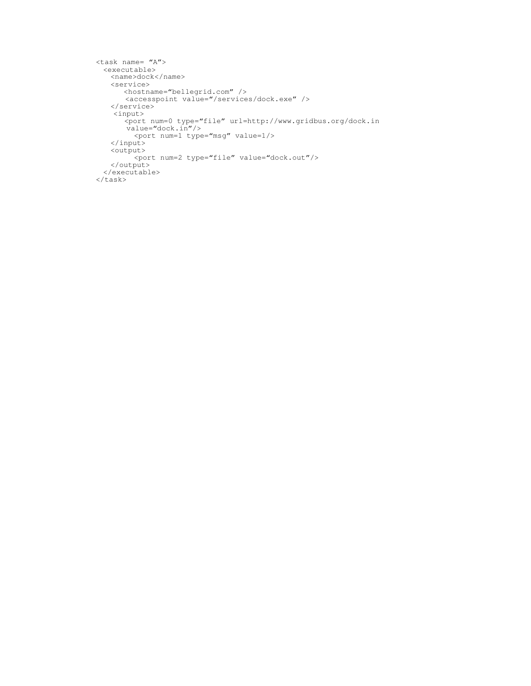```
<task name= "A"> 
 <executable> 
   <name>dock</name> 
   <service> 
       <hostname="bellegrid.com" /> 
       <accesspoint value="/services/dock.exe" /> 
   </service> 
     <input> 
       <port num=0 type="file" url=http://www.gridbus.org/dock.in 
       value="dock.in"/> 
 <port num=1 type="msg" value=1/> 
   </input> 
   <output> 
         <port num=2 type="file" value="dock.out"/> 
   </output> 
  </executable> 
</task>
```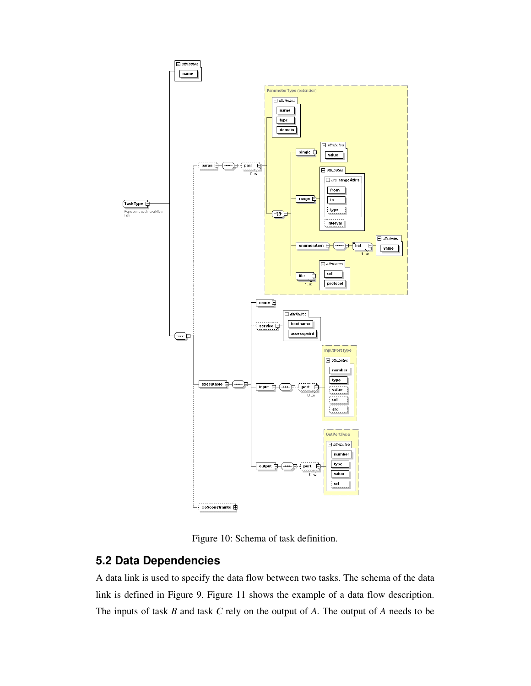

Figure 10: Schema of task definition.

### **5.2 Data Dependencies**

A data link is used to specify the data flow between two tasks. The schema of the data link is defined in Figure 9. Figure 11 shows the example of a data flow description. The inputs of task *B* and task *C* rely on the output of *A*. The output of *A* needs to be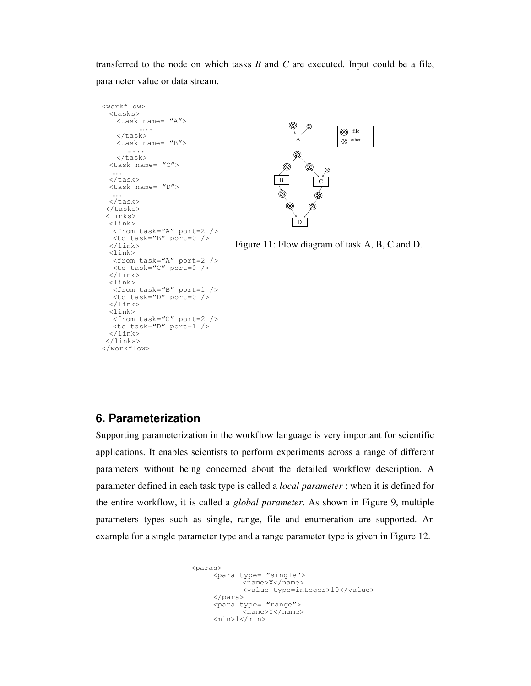transferred to the node on which tasks *B* and *C* are executed. Input could be a file, parameter value or data stream.



#### **6. Parameterization**

 $\tan \tan \frac{1}{2}$   $\tan \frac{1}{2}$   $\tan \frac{1}{2}$   $\tan \frac{1}{2}$ 

<from task="C" port=2 />  $\lt$ to task="D" port=1 />

 $\langle$ link> <link>

 $\langle$ link> </links> </workflow>

Supporting parameterization in the workflow language is very important for scientific applications. It enables scientists to perform experiments across a range of different parameters without being concerned about the detailed workflow description. A parameter defined in each task type is called a *local parameter* ; when it is defined for the entire workflow, it is called a *global parameter*. As shown in Figure 9, multiple parameters types such as single, range, file and enumeration are supported. An example for a single parameter type and a range parameter type is given in Figure 12.

```
<paras> <para type= "single"> 
             <name>X</name> 
             <value type=integer>10</value> 
      </para> 
     <para type= "range">
             <name>Y</name> 
     <min>1</min>
```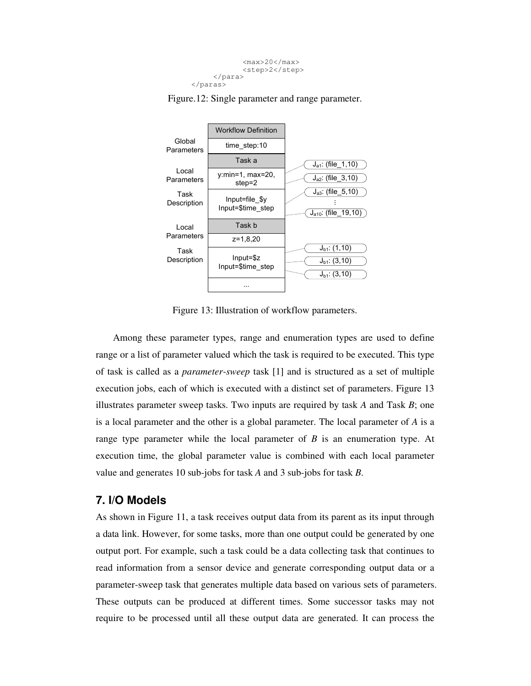



Figure.12: Single parameter and range parameter.

Figure 13: Illustration of workflow parameters.

Among these parameter types, range and enumeration types are used to define range or a list of parameter valued which the task is required to be executed. This type of task is called as a *parameter-sweep* task [1] and is structured as a set of multiple execution jobs, each of which is executed with a distinct set of parameters. Figure 13 illustrates parameter sweep tasks. Two inputs are required by task *A* and Task *B*; one is a local parameter and the other is a global parameter. The local parameter of *A* is a range type parameter while the local parameter of *B* is an enumeration type. At execution time, the global parameter value is combined with each local parameter value and generates 10 sub-jobs for task *A* and 3 sub-jobs for task *B*.

#### **7. I/O Models**

As shown in Figure 11, a task receives output data from its parent as its input through a data link. However, for some tasks, more than one output could be generated by one output port. For example, such a task could be a data collecting task that continues to read information from a sensor device and generate corresponding output data or a parameter-sweep task that generates multiple data based on various sets of parameters. These outputs can be produced at different times. Some successor tasks may not require to be processed until all these output data are generated. It can process the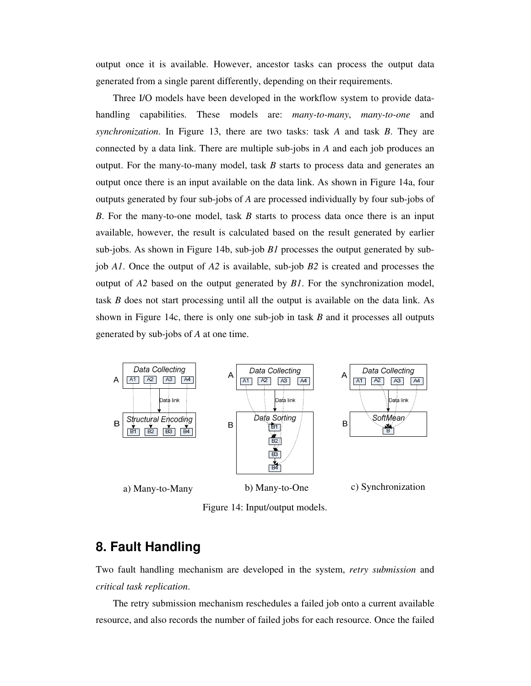output once it is available. However, ancestor tasks can process the output data generated from a single parent differently, depending on their requirements.

Three I/O models have been developed in the workflow system to provide datahandling capabilities. These models are: *many-to-many*, *many-to-one* and *synchronization*. In Figure 13, there are two tasks: task *A* and task *B*. They are connected by a data link. There are multiple sub-jobs in *A* and each job produces an output. For the many-to-many model, task *B* starts to process data and generates an output once there is an input available on the data link. As shown in Figure 14a, four outputs generated by four sub-jobs of *A* are processed individually by four sub-jobs of *B*. For the many-to-one model, task *B* starts to process data once there is an input available, however, the result is calculated based on the result generated by earlier sub-jobs. As shown in Figure 14b, sub-job *B1* processes the output generated by subjob *A1*. Once the output of *A2* is available, sub-job *B2* is created and processes the output of *A2* based on the output generated by *B1*. For the synchronization model, task *B* does not start processing until all the output is available on the data link. As shown in Figure 14c, there is only one sub-job in task *B* and it processes all outputs generated by sub-jobs of *A* at one time.



Figure 14: Input/output models.

## **8. Fault Handling**

Two fault handling mechanism are developed in the system, *retry submission* and *critical task replication*.

The retry submission mechanism reschedules a failed job onto a current available resource, and also records the number of failed jobs for each resource. Once the failed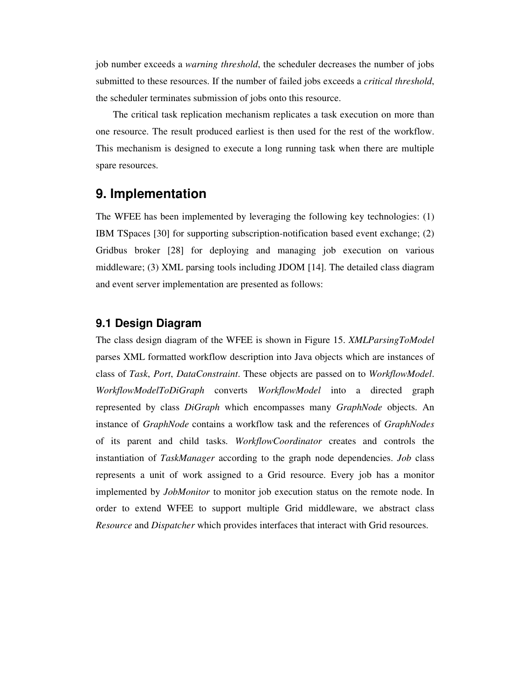job number exceeds a *warning threshold*, the scheduler decreases the number of jobs submitted to these resources. If the number of failed jobs exceeds a *critical threshold*, the scheduler terminates submission of jobs onto this resource.

The critical task replication mechanism replicates a task execution on more than one resource. The result produced earliest is then used for the rest of the workflow. This mechanism is designed to execute a long running task when there are multiple spare resources.

## **9. Implementation**

The WFEE has been implemented by leveraging the following key technologies: (1) IBM TSpaces [30] for supporting subscription-notification based event exchange; (2) Gridbus broker [28] for deploying and managing job execution on various middleware; (3) XML parsing tools including JDOM [14]. The detailed class diagram and event server implementation are presented as follows:

#### **9.1 Design Diagram**

The class design diagram of the WFEE is shown in Figure 15. *XMLParsingToModel* parses XML formatted workflow description into Java objects which are instances of class of *Task*, *Port*, *DataConstraint*. These objects are passed on to *WorkflowModel*. *WorkflowModelToDiGraph* converts *WorkflowModel* into a directed graph represented by class *DiGraph* which encompasses many *GraphNode* objects. An instance of *GraphNode* contains a workflow task and the references of *GraphNodes* of its parent and child tasks. *WorkflowCoordinator* creates and controls the instantiation of *TaskManager* according to the graph node dependencies. *Job* class represents a unit of work assigned to a Grid resource. Every job has a monitor implemented by *JobMonitor* to monitor job execution status on the remote node. In order to extend WFEE to support multiple Grid middleware, we abstract class *Resource* and *Dispatcher* which provides interfaces that interact with Grid resources.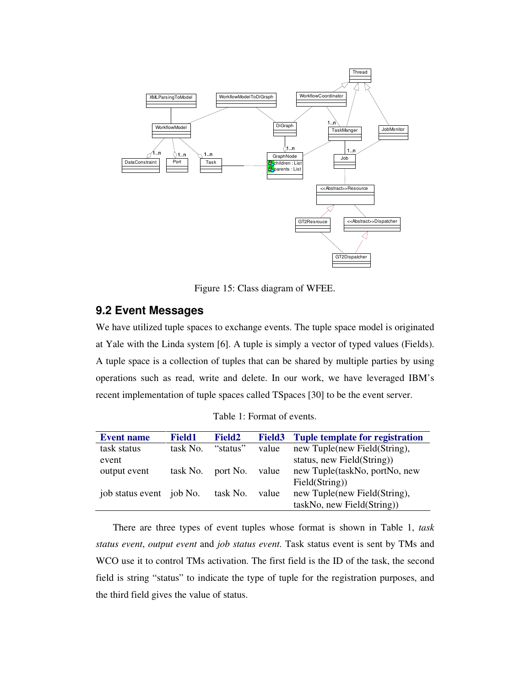

Figure 15: Class diagram of WFEE.

#### **9.2 Event Messages**

We have utilized tuple spaces to exchange events. The tuple space model is originated at Yale with the Linda system [6]. A tuple is simply a vector of typed values (Fields). A tuple space is a collection of tuples that can be shared by multiple parties by using operations such as read, write and delete. In our work, we have leveraged IBM's recent implementation of tuple spaces called TSpaces [30] to be the event server.

|  |  | Table 1: Format of events. |  |  |
|--|--|----------------------------|--|--|
|--|--|----------------------------|--|--|

| <b>Event name</b>        | <b>Field1</b> | <b>Field2</b> | <b>Field3</b> | <b>Tuple template for registration</b> |
|--------------------------|---------------|---------------|---------------|----------------------------------------|
| task status              | task No.      | "status"      | value         | new Tuple(new Field(String),           |
| event                    |               |               |               | status, new Field(String))             |
| output event             | task No.      | port No.      | value         | new Tuple(taskNo, portNo, new          |
|                          |               |               |               | Field(String))                         |
| job status event job No. |               | task No.      | value         | new Tuple(new Field(String),           |
|                          |               |               |               | taskNo, new Field(String))             |

There are three types of event tuples whose format is shown in Table 1, *task status event*, *output event* and *job status event*. Task status event is sent by TMs and WCO use it to control TMs activation. The first field is the ID of the task, the second field is string "status" to indicate the type of tuple for the registration purposes, and the third field gives the value of status.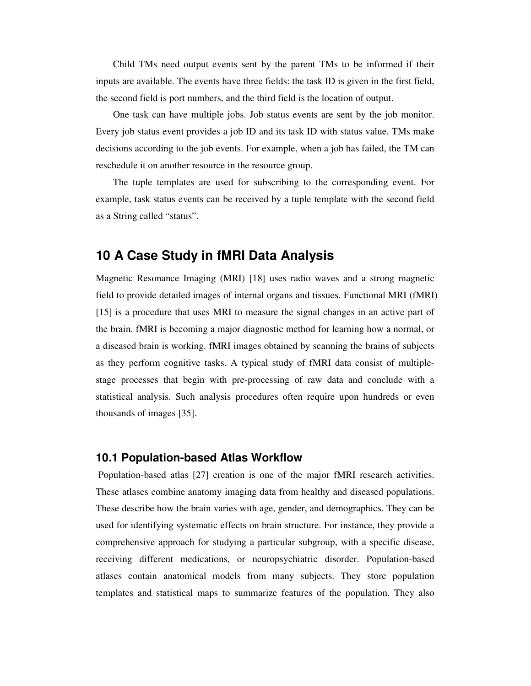Child TMs need output events sent by the parent TMs to be informed if their inputs are available. The events have three fields: the task ID is given in the first field, the second field is port numbers, and the third field is the location of output.

One task can have multiple jobs. Job status events are sent by the job monitor. Every job status event provides a job ID and its task ID with status value. TMs make decisions according to the job events. For example, when a job has failed, the TM can reschedule it on another resource in the resource group.

The tuple templates are used for subscribing to the corresponding event. For example, task status events can be received by a tuple template with the second field as a String called "status".

### **10 A Case Study in fMRI Data Analysis**

Magnetic Resonance Imaging (MRI) [18] uses radio waves and a strong magnetic field to provide detailed images of internal organs and tissues. Functional MRI (fMRI) [15] is a procedure that uses MRI to measure the signal changes in an active part of the brain. fMRI is becoming a major diagnostic method for learning how a normal, or a diseased brain is working. fMRI images obtained by scanning the brains of subjects as they perform cognitive tasks. A typical study of fMRI data consist of multiplestage processes that begin with pre-processing of raw data and conclude with a statistical analysis. Such analysis procedures often require upon hundreds or even thousands of images [35].

#### **10.1 Population-based Atlas Workflow**

 Population-based atlas [27] creation is one of the major fMRI research activities. These atlases combine anatomy imaging data from healthy and diseased populations. These describe how the brain varies with age, gender, and demographics. They can be used for identifying systematic effects on brain structure. For instance, they provide a comprehensive approach for studying a particular subgroup, with a specific disease, receiving different medications, or neuropsychiatric disorder. Population-based atlases contain anatomical models from many subjects. They store population templates and statistical maps to summarize features of the population. They also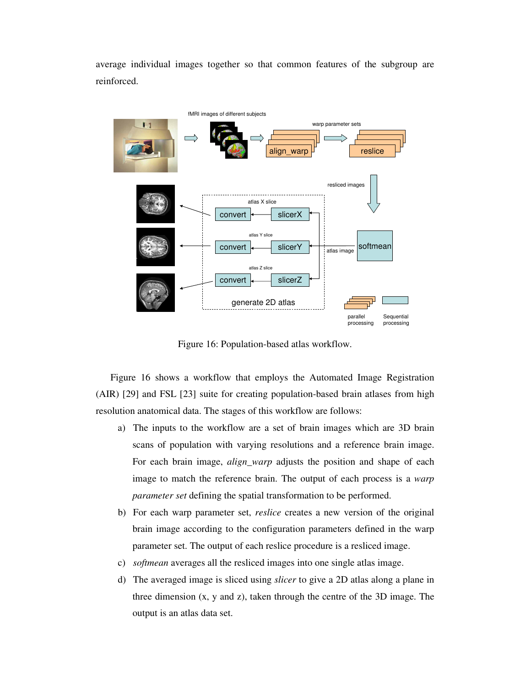average individual images together so that common features of the subgroup are reinforced.



Figure 16: Population-based atlas workflow.

Figure 16 shows a workflow that employs the Automated Image Registration (AIR) [29] and FSL [23] suite for creating population-based brain atlases from high resolution anatomical data. The stages of this workflow are follows:

- a) The inputs to the workflow are a set of brain images which are 3D brain scans of population with varying resolutions and a reference brain image. For each brain image, *align\_warp* adjusts the position and shape of each image to match the reference brain. The output of each process is a *warp parameter set* defining the spatial transformation to be performed.
- b) For each warp parameter set, *reslice* creates a new version of the original brain image according to the configuration parameters defined in the warp parameter set. The output of each reslice procedure is a resliced image.
- c) *softmean* averages all the resliced images into one single atlas image.
- d) The averaged image is sliced using *slicer* to give a 2D atlas along a plane in three dimension (x, y and z), taken through the centre of the 3D image. The output is an atlas data set.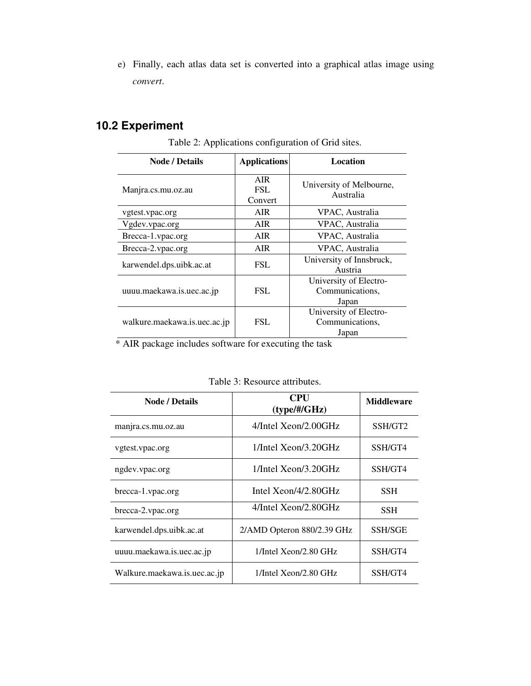e) Finally, each atlas data set is converted into a graphical atlas image using *convert*.

## **10.2 Experiment**

| <b>Node / Details</b>        | <b>Applications</b>          | <b>Location</b>                                    |  |
|------------------------------|------------------------------|----------------------------------------------------|--|
| Manjra.cs.mu.oz.au           | <b>AIR</b><br>FSL<br>Convert | University of Melbourne,<br>Australia              |  |
| vgtest.vpac.org              | AIR.                         | VPAC, Australia                                    |  |
| Vgdev.vpac.org               | AIR.                         | VPAC, Australia                                    |  |
| Brecca-1.vpac.org            | <b>AIR</b>                   | VPAC, Australia                                    |  |
| Brecca-2.vpac.org            | AIR.                         | VPAC, Australia                                    |  |
| karwendel.dps.uibk.ac.at     | FSL                          | University of Innsbruck,<br>Austria                |  |
| uuuu.maekawa.is.uec.ac.jp    | FSL                          | University of Electro-<br>Communications,<br>Japan |  |
| walkure.maekawa.is.uec.ac.jp | FSL.                         | University of Electro-<br>Communications,<br>Japan |  |

Table 2: Applications configuration of Grid sites.

\* AIR package includes software for executing the task

| <b>Node / Details</b>        | <b>CPU</b><br>$(type/\#/GHz)$ | <b>Middleware</b> |
|------------------------------|-------------------------------|-------------------|
| manjra.cs.mu.oz.au           | 4/Intel Xeon/2.00GHz          | SSH/GT2           |
| vgtest.vpac.org              | 1/Intel Xeon/3.20GHz          | SSH/GT4           |
| ngdev.vpac.org               | $1$ /Intel Xeon/3.20GHz       | SSH/GT4           |
| brecca-1.vpac.org            | Intel $Xeon/4/2.80GHz$        | <b>SSH</b>        |
| brecca-2.vpac.org            | 4/Intel Xeon/2.80GHz          | <b>SSH</b>        |
| karwendel.dps.uibk.ac.at     | 2/AMD Opteron 880/2.39 GHz    | <b>SSH/SGE</b>    |
| uuuu.maekawa.is.uec.ac.jp    | $1$ /Intel Xeon/2.80 GHz      | SSH/GT4           |
| Walkure.maekawa.is.uec.ac.jp | $1$ /Intel Xeon/2.80 GHz      | SSH/GT4           |

Table 3: Resource attributes.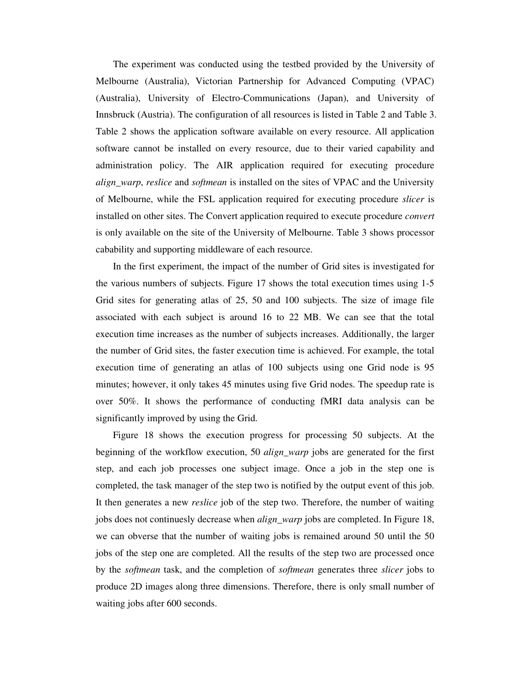The experiment was conducted using the testbed provided by the University of Melbourne (Australia), Victorian Partnership for Advanced Computing (VPAC) (Australia), University of Electro-Communications (Japan), and University of Innsbruck (Austria). The configuration of all resources is listed in Table 2 and Table 3. Table 2 shows the application software available on every resource. All application software cannot be installed on every resource, due to their varied capability and administration policy. The AIR application required for executing procedure *align\_warp*, *reslice* and *softmean* is installed on the sites of VPAC and the University of Melbourne, while the FSL application required for executing procedure *slicer* is installed on other sites. The Convert application required to execute procedure *convert* is only available on the site of the University of Melbourne. Table 3 shows processor cabability and supporting middleware of each resource.

In the first experiment, the impact of the number of Grid sites is investigated for the various numbers of subjects. Figure 17 shows the total execution times using 1-5 Grid sites for generating atlas of 25, 50 and 100 subjects. The size of image file associated with each subject is around 16 to 22 MB. We can see that the total execution time increases as the number of subjects increases. Additionally, the larger the number of Grid sites, the faster execution time is achieved. For example, the total execution time of generating an atlas of 100 subjects using one Grid node is 95 minutes; however, it only takes 45 minutes using five Grid nodes. The speedup rate is over 50%. It shows the performance of conducting fMRI data analysis can be significantly improved by using the Grid.

Figure 18 shows the execution progress for processing 50 subjects. At the beginning of the workflow execution, 50 *align\_warp* jobs are generated for the first step, and each job processes one subject image. Once a job in the step one is completed, the task manager of the step two is notified by the output event of this job. It then generates a new *reslice* job of the step two. Therefore, the number of waiting jobs does not continuesly decrease when *align\_warp* jobs are completed. In Figure 18, we can obverse that the number of waiting jobs is remained around 50 until the 50 jobs of the step one are completed. All the results of the step two are processed once by the *softmean* task, and the completion of *softmean* generates three *slicer* jobs to produce 2D images along three dimensions. Therefore, there is only small number of waiting jobs after 600 seconds.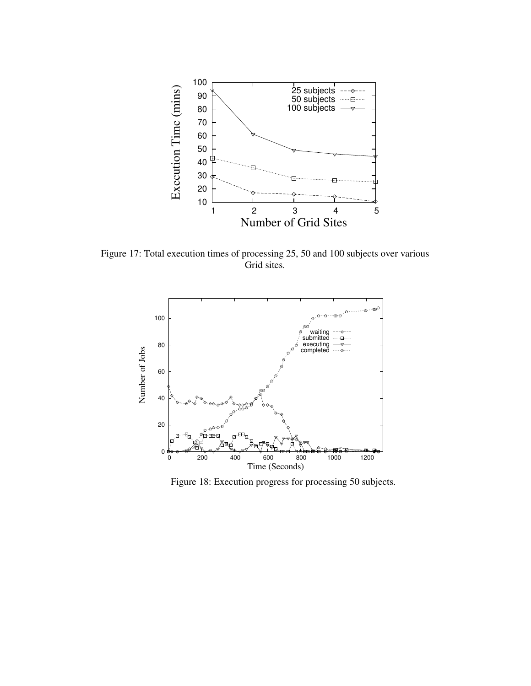

Figure 17: Total execution times of processing 25, 50 and 100 subjects over various Grid sites.



Figure 18: Execution progress for processing 50 subjects.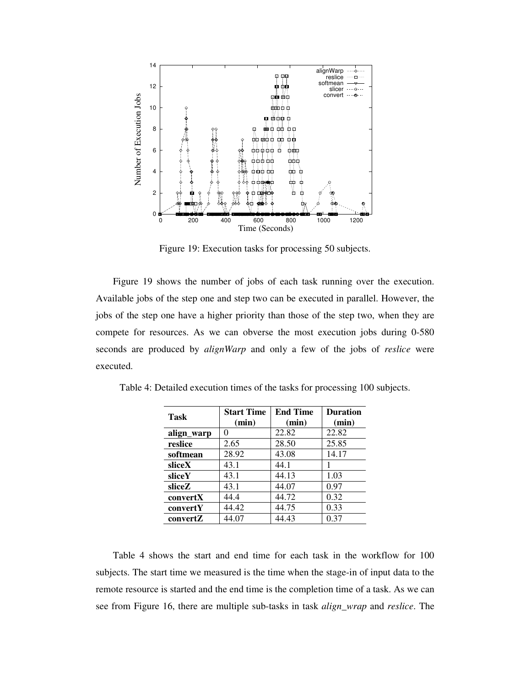

Figure 19: Execution tasks for processing 50 subjects.

Figure 19 shows the number of jobs of each task running over the execution. Available jobs of the step one and step two can be executed in parallel. However, the jobs of the step one have a higher priority than those of the step two, when they are compete for resources. As we can obverse the most execution jobs during 0-580 seconds are produced by *alignWarp* and only a few of the jobs of *reslice* were executed.

| Task       | <b>Start Time</b><br>(min) | <b>End Time</b><br>(min) | <b>Duration</b><br>(min) |
|------------|----------------------------|--------------------------|--------------------------|
| align_warp |                            | 22.82                    | 22.82                    |
| reslice    | 2.65                       | 28.50                    | 25.85                    |
| softmean   | 28.92                      | 43.08                    | 14.17                    |
| sliceX     | 43.1                       | 44.1                     |                          |
| sliceY     | 43.1                       | 44.13                    | 1.03                     |
| sliceZ     | 43.1                       | 44.07                    | 0.97                     |
| convertX   | 44.4                       | 44.72                    | 0.32                     |
| convertY   | 44.42                      | 44.75                    | 0.33                     |
| convertZ   | 44.07                      | 44.43                    | 0.37                     |

Table 4: Detailed execution times of the tasks for processing 100 subjects.

Table 4 shows the start and end time for each task in the workflow for 100 subjects. The start time we measured is the time when the stage-in of input data to the remote resource is started and the end time is the completion time of a task. As we can see from Figure 16, there are multiple sub-tasks in task *align\_wrap* and *reslice*. The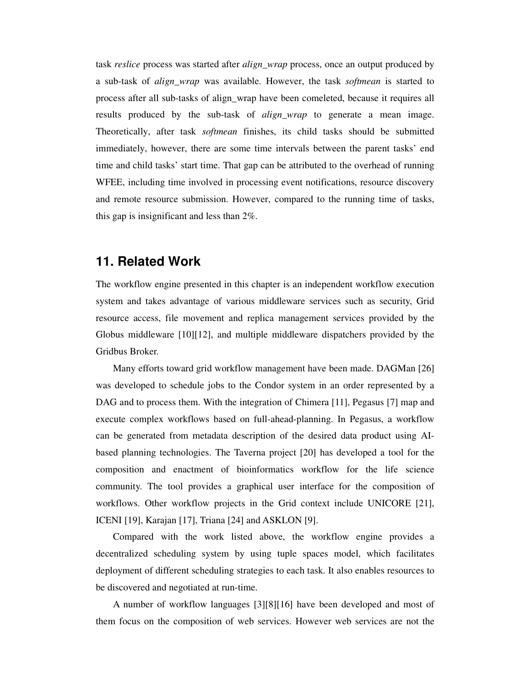task *reslice* process was started after *align\_wrap* process, once an output produced by a sub-task of *align\_wrap* was available. However, the task *softmean* is started to process after all sub-tasks of align\_wrap have been comeleted, because it requires all results produced by the sub-task of *align\_wrap* to generate a mean image. Theoretically, after task *softmean* finishes, its child tasks should be submitted immediately, however, there are some time intervals between the parent tasks' end time and child tasks' start time. That gap can be attributed to the overhead of running WFEE, including time involved in processing event notifications, resource discovery and remote resource submission. However, compared to the running time of tasks, this gap is insignificant and less than 2%.

### **11. Related Work**

The workflow engine presented in this chapter is an independent workflow execution system and takes advantage of various middleware services such as security, Grid resource access, file movement and replica management services provided by the Globus middleware [10][12], and multiple middleware dispatchers provided by the Gridbus Broker.

Many efforts toward grid workflow management have been made. DAGMan [26] was developed to schedule jobs to the Condor system in an order represented by a DAG and to process them. With the integration of Chimera [11], Pegasus [7] map and execute complex workflows based on full-ahead-planning. In Pegasus, a workflow can be generated from metadata description of the desired data product using AIbased planning technologies. The Taverna project [20] has developed a tool for the composition and enactment of bioinformatics workflow for the life science community. The tool provides a graphical user interface for the composition of workflows. Other workflow projects in the Grid context include UNICORE [21], ICENI [19], Karajan [17], Triana [24] and ASKLON [9].

Compared with the work listed above, the workflow engine provides a decentralized scheduling system by using tuple spaces model, which facilitates deployment of different scheduling strategies to each task. It also enables resources to be discovered and negotiated at run-time.

A number of workflow languages [3][8][16] have been developed and most of them focus on the composition of web services. However web services are not the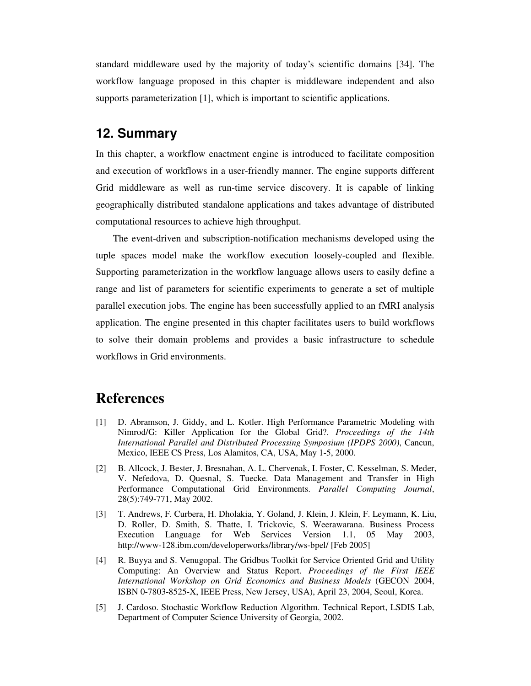standard middleware used by the majority of today's scientific domains [34]. The workflow language proposed in this chapter is middleware independent and also supports parameterization [1], which is important to scientific applications.

### **12. Summary**

In this chapter, a workflow enactment engine is introduced to facilitate composition and execution of workflows in a user-friendly manner. The engine supports different Grid middleware as well as run-time service discovery. It is capable of linking geographically distributed standalone applications and takes advantage of distributed computational resources to achieve high throughput.

The event-driven and subscription-notification mechanisms developed using the tuple spaces model make the workflow execution loosely-coupled and flexible. Supporting parameterization in the workflow language allows users to easily define a range and list of parameters for scientific experiments to generate a set of multiple parallel execution jobs. The engine has been successfully applied to an fMRI analysis application. The engine presented in this chapter facilitates users to build workflows to solve their domain problems and provides a basic infrastructure to schedule workflows in Grid environments.

## **References**

- [1] D. Abramson, J. Giddy, and L. Kotler. High Performance Parametric Modeling with Nimrod/G: Killer Application for the Global Grid?. *Proceedings of the 14th International Parallel and Distributed Processing Symposium (IPDPS 2000)*, Cancun, Mexico, IEEE CS Press, Los Alamitos, CA, USA, May 1-5, 2000.
- [2] B. Allcock, J. Bester, J. Bresnahan, A. L. Chervenak, I. Foster, C. Kesselman, S. Meder, V. Nefedova, D. Quesnal, S. Tuecke. Data Management and Transfer in High Performance Computational Grid Environments. *Parallel Computing Journal*, 28(5):749-771, May 2002.
- [3] T. Andrews, F. Curbera, H. Dholakia, Y. Goland, J. Klein, J. Klein, F. Leymann, K. Liu, D. Roller, D. Smith, S. Thatte, I. Trickovic, S. Weerawarana. Business Process Execution Language for Web Services Version 1.1, 05 May 2003, http://www-128.ibm.com/developerworks/library/ws-bpel/ [Feb 2005]
- [4] R. Buyya and S. Venugopal. The Gridbus Toolkit for Service Oriented Grid and Utility Computing: An Overview and Status Report. *Proceedings of the First IEEE International Workshop on Grid Economics and Business Models* (GECON 2004, ISBN 0-7803-8525-X, IEEE Press, New Jersey, USA), April 23, 2004, Seoul, Korea.
- [5] J. Cardoso. Stochastic Workflow Reduction Algorithm. Technical Report, LSDIS Lab, Department of Computer Science University of Georgia, 2002.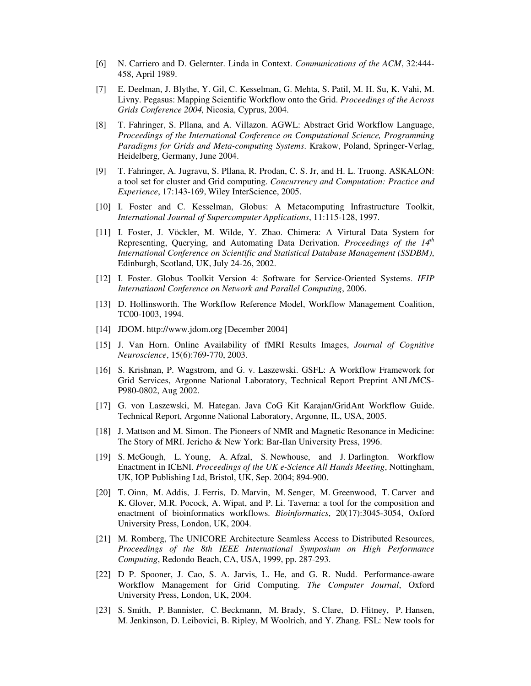- [6] N. Carriero and D. Gelernter. Linda in Context. *Communications of the ACM*, 32:444- 458, April 1989.
- [7] E. Deelman, J. Blythe, Y. Gil, C. Kesselman, G. Mehta, S. Patil, M. H. Su, K. Vahi, M. Livny. Pegasus: Mapping Scientific Workflow onto the Grid. *Proceedings of the Across Grids Conference 2004,* Nicosia, Cyprus, 2004.
- [8] T. Fahringer, S. Pllana, and A. Villazon. AGWL: Abstract Grid Workflow Language, *Proceedings of the International Conference on Computational Science, Programming Paradigms for Grids and Meta-computing Systems*. Krakow, Poland, Springer-Verlag, Heidelberg, Germany, June 2004.
- [9] T. Fahringer, A. Jugravu, S. Pllana, R. Prodan, C. S. Jr, and H. L. Truong. ASKALON: a tool set for cluster and Grid computing. *Concurrency and Computation: Practice and Experience*, 17:143-169, Wiley InterScience, 2005.
- [10] I. Foster and C. Kesselman, Globus: A Metacomputing Infrastructure Toolkit, *International Journal of Supercomputer Applications*, 11:115-128, 1997.
- [11] I. Foster, J. Vöckler, M. Wilde, Y. Zhao. Chimera: A Virtural Data System for Representing, Querying, and Automating Data Derivation. *Proceedings of the 14th International Conference on Scientific and Statistical Database Management (SSDBM)*, Edinburgh, Scotland, UK, July 24-26, 2002.
- [12] I. Foster. Globus Toolkit Version 4: Software for Service-Oriented Systems. *IFIP Internatiaonl Conference on Network and Parallel Computing*, 2006.
- [13] D. Hollinsworth. The Workflow Reference Model, Workflow Management Coalition, TC00-1003, 1994.
- [14] JDOM. http://www.jdom.org [December 2004]
- [15] J. Van Horn. Online Availability of fMRI Results Images, *Journal of Cognitive Neuroscience*, 15(6):769-770, 2003.
- [16] S. Krishnan, P. Wagstrom, and G. v. Laszewski. GSFL: A Workflow Framework for Grid Services, Argonne National Laboratory, Technical Report Preprint ANL/MCS-P980-0802, Aug 2002.
- [17] G. von Laszewski, M. Hategan. Java CoG Kit Karajan/GridAnt Workflow Guide. Technical Report, Argonne National Laboratory, Argonne, IL, USA, 2005.
- [18] J. Mattson and M. Simon. The Pioneers of NMR and Magnetic Resonance in Medicine: The Story of MRI. Jericho & New York: Bar-Ilan University Press, 1996.
- [19] S. McGough, L. Young, A. Afzal, S. Newhouse, and J. Darlington. Workflow Enactment in ICENI. *Proceedings of the UK e-Science All Hands Meeting*, Nottingham, UK, IOP Publishing Ltd, Bristol, UK, Sep. 2004; 894-900.
- [20] T. Oinn, M. Addis, J. Ferris, D. Marvin, M. Senger, M. Greenwood, T. Carver and K. Glover, M.R. Pocock, A. Wipat, and P. Li. Taverna: a tool for the composition and enactment of bioinformatics workflows. *Bioinformatics*, 20(17):3045-3054, Oxford University Press, London, UK, 2004.
- [21] M. Romberg, The UNICORE Architecture Seamless Access to Distributed Resources, *Proceedings of the 8th IEEE International Symposium on High Performance Computing*, Redondo Beach, CA, USA, 1999, pp. 287-293.
- [22] D P. Spooner, J. Cao, S. A. Jarvis, L. He, and G. R. Nudd. Performance-aware Workflow Management for Grid Computing. *The Computer Journal*, Oxford University Press, London, UK, 2004.
- [23] S. Smith, P. Bannister, C. Beckmann, M. Brady, S. Clare, D. Flitney, P. Hansen, M. Jenkinson, D. Leibovici, B. Ripley, M Woolrich, and Y. Zhang. FSL: New tools for